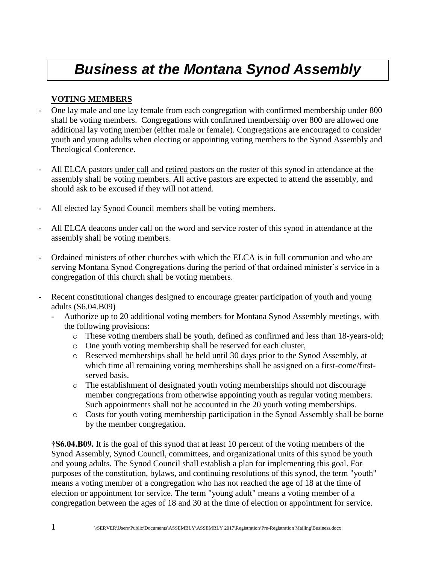# *Business at the Montana Synod Assembly*

## **VOTING MEMBERS**

- One lay male and one lay female from each congregation with confirmed membership under 800 shall be voting members. Congregations with confirmed membership over 800 are allowed one additional lay voting member (either male or female). Congregations are encouraged to consider youth and young adults when electing or appointing voting members to the Synod Assembly and Theological Conference.
- All ELCA pastors under call and retired pastors on the roster of this synod in attendance at the assembly shall be voting members. All active pastors are expected to attend the assembly, and should ask to be excused if they will not attend.
- All elected lay Synod Council members shall be voting members.
- All ELCA deacons under call on the word and service roster of this synod in attendance at the assembly shall be voting members.
- Ordained ministers of other churches with which the ELCA is in full communion and who are serving Montana Synod Congregations during the period of that ordained minister's service in a congregation of this church shall be voting members.
- Recent constitutional changes designed to encourage greater participation of youth and young adults (S6.04.B09)
	- Authorize up to 20 additional voting members for Montana Synod Assembly meetings, with the following provisions:
		- o These voting members shall be youth, defined as confirmed and less than 18-years-old;
		- o One youth voting membership shall be reserved for each cluster,
		- o Reserved memberships shall be held until 30 days prior to the Synod Assembly, at which time all remaining voting memberships shall be assigned on a first-come/firstserved basis.
		- o The establishment of designated youth voting memberships should not discourage member congregations from otherwise appointing youth as regular voting members. Such appointments shall not be accounted in the 20 youth voting memberships.
		- o Costs for youth voting membership participation in the Synod Assembly shall be borne by the member congregation.

**†S6.04.B09.** It is the goal of this synod that at least 10 percent of the voting members of the Synod Assembly, Synod Council, committees, and organizational units of this synod be youth and young adults. The Synod Council shall establish a plan for implementing this goal. For purposes of the constitution, bylaws, and continuing resolutions of this synod, the term "youth" means a voting member of a congregation who has not reached the age of 18 at the time of election or appointment for service. The term "young adult" means a voting member of a congregation between the ages of 18 and 30 at the time of election or appointment for service.